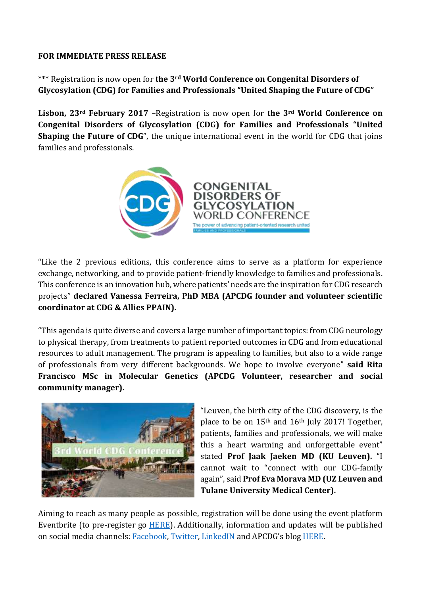## **FOR IMMEDIATE PRESS RELEASE**

\*\*\* Registration is now open for **the 3rd World Conference on Congenital Disorders of Glycosylation (CDG) for Families and Professionals "United Shaping the Future of CDG"**

**Lisbon, 23rd February 2017** –Registration is now open for **the 3rd World Conference on Congenital Disorders of Glycosylation (CDG) for Families and Professionals "United Shaping the Future of CDG**", the unique international event in the world for CDG that joins families and professionals.



"Like the 2 previous editions, this conference aims to serve as a platform for experience exchange, networking, and to provide patient-friendly knowledge to families and professionals. This conference is an innovation hub, where patients' needs are the inspiration for CDG research projects" **declared Vanessa Ferreira, PhD MBA (APCDG founder and volunteer scientific coordinator at CDG & Allies PPAIN).**

"This agenda is quite diverse and covers a large number of important topics: from CDG neurology to physical therapy, from treatments to patient reported outcomes in CDG and from educational resources to adult management. The program is appealing to families, but also to a wide range of professionals from very different backgrounds. We hope to involve everyone" **said Rita Francisco MSc in Molecular Genetics (APCDG Volunteer, researcher and social community manager).**



"Leuven, the birth city of the CDG discovery, is the place to be on  $15<sup>th</sup>$  and  $16<sup>th</sup>$  July 2017! Together, patients, families and professionals, we will make this a heart warming and unforgettable event" stated **Prof Jaak Jaeken MD (KU Leuven).** "I cannot wait to "connect with our CDG-family again", said **Prof Eva Morava MD (UZ Leuven and Tulane University Medical Center).**

Aiming to reach as many people as possible, registration will be done using the event platform Eventbrite (to pre-register go [HERE\)](Press%20release_Registrations_ENG.docx). Additionally, information and updates will be published on social media channels: [Facebook, Twitter, LinkedIN](file:///C:/Users/ferreirav/AppData/Local/Temp/Press%20release_Registrations.docx) and APCDG's blog [HERE.](http://www.apcdg.com/blog)